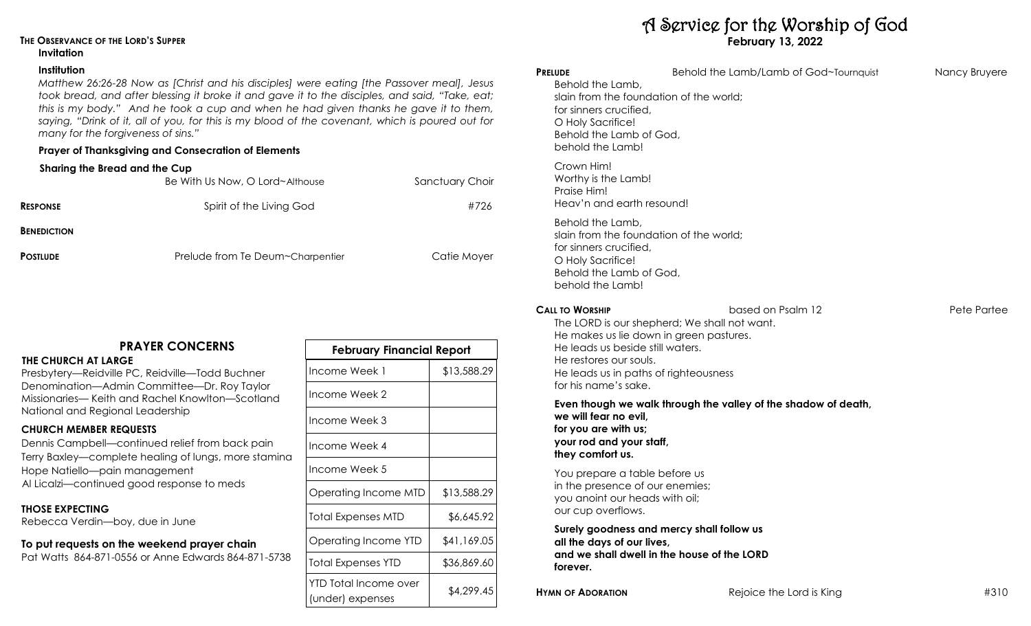# **THE OBSERVANCE OF THE LORD'S SUPPER**

### **Invitation**

### **Institution**

*Matthew 26:26-28 Now as [Christ and his disciples] were eating [the Passover meal], Jesus took bread, and after blessing it broke it and gave it to the disciples, and said, "Take, eat; this is my body." And he took a cup and when he had given thanks he gave it to them, saying, "Drink of it, all of you, for this is my blood of the covenant, which is poured out for many for the forgiveness of sins."*

# **Prayer of Thanksgiving and Consecration of Elements**

## **Sharing the Bread and the Cup**

|                    | Be With Us Now, O Lord~Althouse  | Sanctuary Choir |
|--------------------|----------------------------------|-----------------|
| <b>RESPONSE</b>    | Spirit of the Living God         | #726            |
| <b>BENEDICTION</b> |                                  |                 |
| <b>POSTLUDE</b>    | Prelude from Te Deum~Charpentier | Catie Moyer     |

# **PRAYER CONCERNS**

### **THE CHURCH AT LARGE**

Presbytery—Reidville PC, Reidville—Todd Buchner Denomination—Admin Committee—Dr. Roy Taylor Missionaries— Keith and Rachel Knowlton—Scotland National and Regional Leadership

## **CHURCH MEMBER REQUESTS**

Dennis Campbell—continued relief from back pain Terry Baxley—complete healing of lungs, more stamina Hope Natiello—pain management Al Licalzi—continued good response to meds

### **THOSE EXPECTING**

Rebecca Verdin—boy, due in June

# **To put requests on the weekend prayer chain**

Pat Watts 864-871-0556 or Anne Edwards 864-871-5738

| <u>FEDIUAI Y FIIIUNCIUI KEPON</u>         |             |  |  |
|-------------------------------------------|-------------|--|--|
| Income Week 1                             | \$13,588.29 |  |  |
| Income Week 2                             |             |  |  |
| Income Week 3                             |             |  |  |
| Income Week 4                             |             |  |  |
| Income Week 5                             |             |  |  |
| Operating Income MTD                      | \$13,588.29 |  |  |
| <b>Total Expenses MTD</b>                 | \$6,645.92  |  |  |
| Operating Income YTD                      | \$41,169.05 |  |  |
| <b>Total Expenses YTD</b>                 | \$36,869.60 |  |  |
| YTD Total Income over<br>(under) expenses | \$4,299.45  |  |  |

**February Financial Report**

# A Service for the Worship of God **February 13, 2022**

| <b>PRELUDE</b><br>Behold the Lamb,<br>slain from the foundation of the world;<br>for sinners crucified,<br>O Holy Sacrifice!<br>Behold the Lamb of God,<br>behold the Lamb!                      | Behold the Lamb/Lamb of God~Tournquist                            | Nancy Bruyere |
|--------------------------------------------------------------------------------------------------------------------------------------------------------------------------------------------------|-------------------------------------------------------------------|---------------|
| Crown Him!<br>Worthy is the Lamb!<br>Praise Him!<br>Heav'n and earth resound!                                                                                                                    |                                                                   |               |
| Behold the Lamb,<br>slain from the foundation of the world;<br>for sinners crucified,<br>O Holy Sacrifice!<br>Behold the Lamb of God,<br>behold the Lamb!                                        |                                                                   |               |
| <b>CALL TO WORSHIP</b><br>He makes us lie down in green pastures.<br>He leads us beside still waters.<br>He restores our souls.<br>He leads us in paths of righteousness<br>for his name's sake. | based on Psalm 12<br>The LORD is our shepherd; We shall not want. | Pete Partee   |
| we will fear no evil,<br>for you are with us;<br>your rod and your staff,<br>they comfort us.                                                                                                    | Even though we walk through the valley of the shadow of death,    |               |
| You prepare a table before us<br>in the presence of our enemies;<br>you anoint our heads with oil;<br>our cup overflows.                                                                         |                                                                   |               |
| Surely goodness and mercy shall follow us<br>all the days of our lives,                                                                                                                          |                                                                   |               |

**and we shall dwell in the house of the LORD forever.**